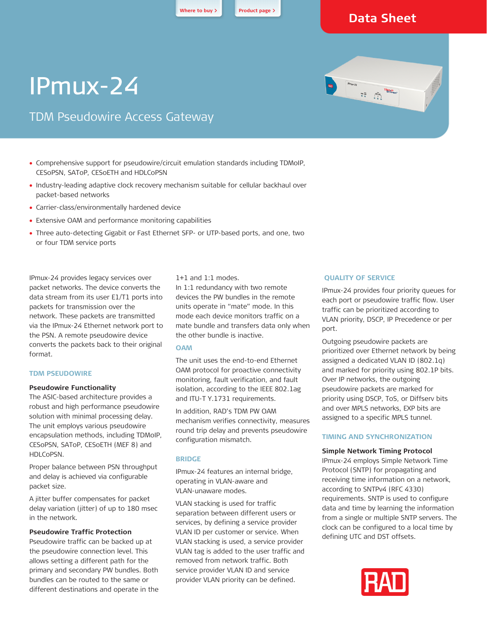**[Where to buy >](http://www.rad.com/3-2387/Where-to-buy-RAD-Products/) [Product page](http://raddist-internal.rad.com/10/TDM-Pseudowire-Access-Gateway/3123/) <sup>&</sup>gt;**

## **Data Sheet**

# IPmux-24

## TDM Pseudowire Access Gateway

- Comprehensive support for pseudowire/circuit emulation standards including TDMoIP, CESoPSN, SAToP, CESoETH and HDLCoPSN
- Industry-leading adaptive clock recovery mechanism suitable for cellular backhaul over packet-based networks
- Carrier-class/environmentally hardened device
- Extensive OAM and performance monitoring capabilities
- Three auto-detecting Gigabit or Fast Ethernet SFP- or UTP-based ports, and one, two or four TDM service ports

IPmux-24 provides legacy services over packet networks. The device converts the data stream from its user E1/T1 ports into packets for transmission over the network. These packets are transmitted via the IPmux-24 Ethernet network port to the PSN. A remote pseudowire device converts the packets back to their original format.

## **TDM PSEUDOWIRE**

## **Pseudowire Functionality**

The ASIC-based architecture provides a robust and high performance pseudowire solution with minimal processing delay. The unit employs various pseudowire encapsulation methods, including TDMoIP, CESoPSN, SAToP, CESoETH (MEF 8) and HDLCoPSN.

Proper balance between PSN throughput and delay is achieved via configurable packet size.

A jitter buffer compensates for packet delay variation (jitter) of up to 180 msec in the network.

## **Pseudowire Traffic Protection**

Pseudowire traffic can be backed up at the pseudowire connection level. This allows setting a different path for the primary and secondary PW bundles. Both bundles can be routed to the same or different destinations and operate in the

1+1 and 1:1 modes.

In 1:1 redundancy with two remote devices the PW bundles in the remote units operate in "mate" mode. In this mode each device monitors traffic on a mate bundle and transfers data only when the other bundle is inactive.

## **OAM**

The unit uses the end-to-end Ethernet OAM protocol for proactive connectivity monitoring, fault verification, and fault isolation, according to the IEEE 802.1ag and ITU-T Y.1731 requirements.

In addition, RAD's TDM PW OAM mechanism verifies connectivity, measures round trip delay and prevents pseudowire configuration mismatch.

## **BRIDGE**

IPmux-24 features an internal bridge, operating in VLAN-aware and VLAN-unaware modes.

VLAN stacking is used for traffic separation between different users or services, by defining a service provider VLAN ID per customer or service. When VLAN stacking is used, a service provider VLAN tag is added to the user traffic and removed from network traffic. Both service provider VLAN ID and service provider VLAN priority can be defined.

## **QUALITY OF SERVICE**

IPmux-24 provides four priority queues for each port or pseudowire traffic flow. User traffic can be prioritized according to VLAN priority, DSCP, IP Precedence or per port.

Outgoing pseudowire packets are prioritized over Ethernet network by being assigned a dedicated VLAN ID (802.1q) and marked for priority using 802.1P bits. Over IP networks, the outgoing pseudowire packets are marked for priority using DSCP, ToS, or Diffserv bits and over MPLS networks, EXP bits are assigned to a specific MPLS tunnel.

## **TIMING AND SYNCHRONIZATION**

## **Simple Network Timing Protocol**

IPmux-24 employs Simple Network Time Protocol (SNTP) for propagating and receiving time information on a network, according to SNTPv4 (RFC 4330) requirements. SNTP is used to configure data and time by learning the information from a single or multiple SNTP servers. The clock can be configured to a local time by defining UTC and DST offsets.

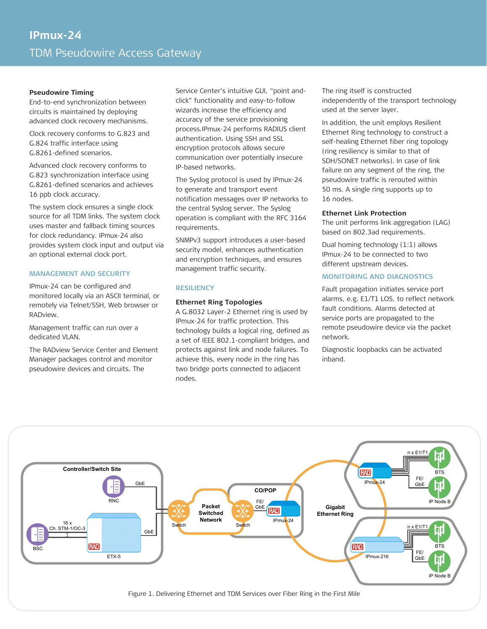## **Pseudowire Timing**

End-to-end synchronization between circuits is maintained by deploying advanced clock recovery mechanisms.

Clock recovery conforms to G.823 and G.824 traffic interface using G.8261-defined scenarios.

Advanced clock recovery conforms to G.823 synchronization interface using G.8261-defined scenarios and achieves 16 ppb clock accuracy.

The system clock ensures a single clock source for all TDM links. The system clock uses master and fallback timing sources for clock redundancy. IPmux-24 also provides system clock input and output via an optional external clock port.

## **MANAGEMENT AND SECURITY**

IPmux-24 can be configured and monitored locally via an ASCII terminal, or remotely via Telnet/SSH, Web browser or RADview.

Management traffic can run over a dedicated VLAN.

The RADview Service Center and Element Manager packages control and monitor pseudowire devices and circuits. The

Service Center's intuitive GUI, "point andclick" functionality and easy-to-follow wizards increase the efficiency and accuracy of the service provisioning process.IPmux-24 performs RADIUS client authentication. Using SSH and SSL encryption protocols allows secure communication over potentially insecure IP-based networks.

The Syslog protocol is used by IPmux-24 to generate and transport event notification messages over IP networks to the central Syslog server. The Syslog operation is compliant with the RFC 3164 requirements.

SNMPv3 support introduces a user-based security model, enhances authentication and encryption techniques, and ensures management traffic security.

## **RESILIENCY**

## **Ethernet Ring Topologies**

A G.8032 Layer-2 Ethernet ring is used by IPmux-24 for traffic protection. This technology builds a logical ring, defined as a set of IEEE 802.1-compliant bridges, and protects against link and node failures. To achieve this, every node in the ring has two bridge ports connected to adjacent nodes.

The ring itself is constructed independently of the transport technology used at the server layer.

In addition, the unit employs Resilient Ethernet Ring technology to construct a self-healing Ethernet fiber ring topology (ring resiliency is similar to that of SDH/SONET networks). In case of link failure on any segment of the ring, the pseudowire traffic is rerouted within 50 ms. A single ring supports up to 16 nodes.

#### **Ethernet Link Protection**

The unit performs link aggregation (LAG) based on 802.3ad requirements.

Dual homing technology (1:1) allows IPmux-24 to be connected to two different upstream devices.

## **MONITORING AND DIAGNOSTICS**

Fault propagation initiates service port alarms, e.g. E1/T1 LOS, to reflect network fault conditions. Alarms detected at service ports are propagated to the remote pseudowire device via the packet network.

Diagnostic loopbacks can be activated inband.



Figure 1. Delivering Ethernet and TDM Services over Fiber Ring in the First Mile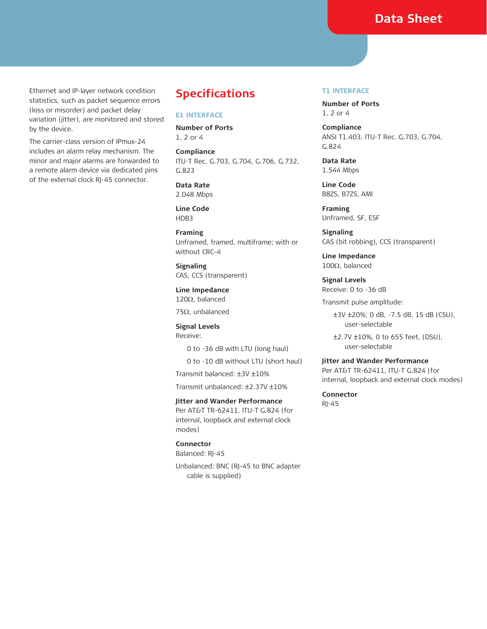## **Data Sheet**

Ethernet and IP-layer network condition statistics, such as packet sequence errors (loss or misorder) and packet delay variation (jitter), are monitored and stored by the device.

The carrier-class version of IPmux-24 includes an alarm relay mechanism. The minor and major alarms are forwarded to a remote alarm device via dedicated pins of the external clock RJ-45 connector.

## **Specifications**

## **E1 INTERFACE**

**Number of Ports** 1, 2 or 4

**Compliance** ITU-T Rec. G.703, G.704, G.706, G.732, G.823

## **Data Rate** 2.048 Mbps

**Line Code** HDB3

**Framing** Unframed, framed, multiframe; with or without CRC-4

**Signaling** CAS, CCS (transparent)

**Line Impedance** 120Ω, balanced

75Ω, unbalanced

**Signal Levels** Receive:

0 to -36 dB with LTU (long haul)

0 to -10 dB without LTU (short haul)

Transmit balanced: ±3V ±10%

Transmit unbalanced: ±2.37V ±10%

## **Jitter and Wander Performance**

Per AT&T TR-62411, ITU-T G.824 (for internal, loopback and external clock modes)

## **Connector**

Balanced: RJ-45

Unbalanced: BNC (RJ-45 to BNC adapter cable is supplied)

## **T1 INTERFACE**

**Number of Ports** 1, 2 or 4

**Compliance** ANSI T1.403, ITU-T Rec. G.703, G.704, G.824

**Data Rate** 1.544 Mbps

**Line Code** B8ZS, B7ZS, AMI

**Framing** Unframed, SF, ESF

**Signaling** CAS (bit robbing), CCS (transparent)

**Line Impedance** 100Ω, balanced

**Signal Levels** Receive: 0 to -36 dB

Transmit pulse amplitude:

±3V ±20%; 0 dB, -7.5 dB, 15 dB (CSU), user-selectable

±2.7V ±10%, 0 to 655 feet, (DSU), user-selectable

## **Jitter and Wander Performance**

Per AT&T TR-62411, ITU-T G.824 (for internal, loopback and external clock modes)

**Connector** RJ-45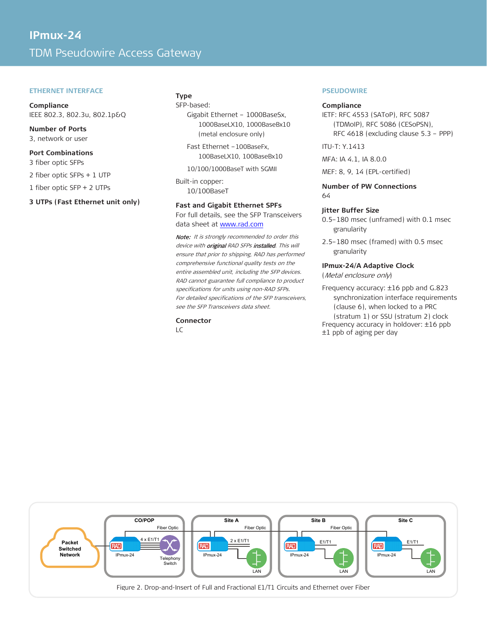## **ETHERNET INTERFACE**

**Compliance** IEEE 802.3, 802.3u, 802.1p&Q

**Number of Ports** 3, network or user

## **Port Combinations**

3 fiber optic SFPs

2 fiber optic SFPs + 1 UTP

1 fiber optic SFP + 2 UTPs

## **3 UTPs (Fast Ethernet unit only)**

## **Type**

## SFP-based:

Gigabit Ethernet – 1000BaseSx, 1000BaseLX10, 1000BaseBx10 (metal enclosure only)

Fast Ethernet –100BaseFx, 100BaseLX10, 100BaseBx10

10/100/1000BaseT with SGMII

Built-in copper: 10/100BaseT

## **Fast and Gigabit Ethernet SPFs**

For full details, see the SFP Transceivers data sheet a[t www.rad.com](http://www.rad.com/)

Note: It is strongly recommended to order this device with **original** RAD SFPs installed. This will ensure that prior to shipping, RAD has performed comprehensive functional quality tests on the entire assembled unit, including the SFP devices. RAD cannot guarantee full compliance to product specifications for units using non-RAD SFPs. For detailed specifications of the SFP transceivers, see the SFP Transceivers data sheet.

## **Connector**

 $LC$ 

## **PSEUDOWIRE**

#### **Compliance**

IETF: RFC 4553 (SAToP), RFC 5087 (TDMoIP), RFC 5086 (CESoPSN), RFC 4618 (excluding clause 5.3 – PPP)

ITU-T: Y.1413

MFA: IA 4.1, IA 8.0.0

MEF: 8, 9, 14 (EPL-certified)

## **Number of PW Connections** 64

## **Jitter Buffer Size**

0.5–180 msec (unframed) with 0.1 msec granularity

2.5–180 msec (framed) with 0.5 msec granularity

## **IPmux-24/A Adaptive Clock**

(Metal enclosure only)

Frequency accuracy: ±16 ppb and G.823 synchronization interface requirements (clause 6), when locked to a PRC (stratum 1) or SSU (stratum 2) clock Frequency accuracy in holdover: ±16 ppb ±1 ppb of aging per day



Figure 2. Drop-and-Insert of Full and Fractional E1/T1 Circuits and Ethernet over Fiber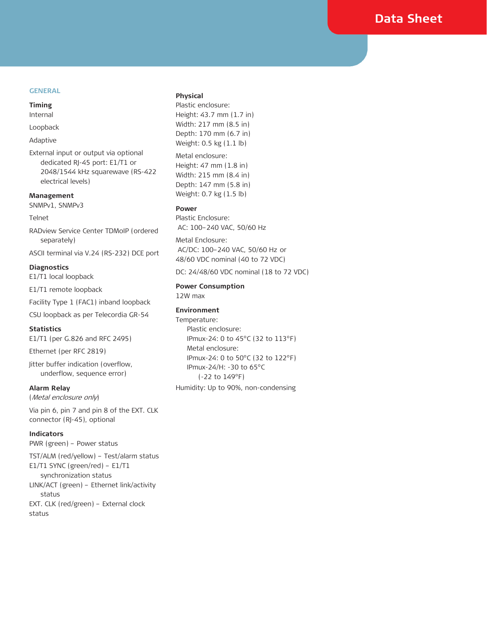## **GENERAL**

## **Timing**

Internal

Loopback

## Adaptive

External input or output via optional dedicated RJ-45 port: E1/T1 or 2048/1544 kHz squarewave (RS-422 electrical levels)

## **Management**

SNMPv1, SNMPv3

Telnet

RADview Service Center TDMoIP (ordered separately)

ASCII terminal via V.24 (RS-232) DCE port

## **Diagnostics**

E1/T1 local loopback

E1/T1 remote loopback

Facility Type 1 (FAC1) inband loopback

CSU loopback as per Telecordia GR-54

## **Statistics**

E1/T1 (per G.826 and RFC 2495)

Ethernet (per RFC 2819)

Jitter buffer indication (overflow, underflow, sequence error)

## **Alarm Relay**

(Metal enclosure only)

Via pin 6, pin 7 and pin 8 of the EXT. CLK connector (RJ-45), optional

## **Indicators**

PWR (green) – Power status

TST/ALM (red/yellow) – Test/alarm status E1/T1 SYNC (green/red) – E1/T1 synchronization status LINK/ACT (green) – Ethernet link/activity status EXT. CLK (red/green) – External clock status

## **Physical**

Plastic enclosure: Height: 43.7 mm (1.7 in) Width: 217 mm (8.5 in) Depth: 170 mm (6.7 in) Weight: 0.5 kg (1.1 lb)

Metal enclosure: Height: 47 mm (1.8 in) Width: 215 mm (8.4 in) Depth: 147 mm (5.8 in) Weight: 0.7 kg (1.5 lb)

## **Power**

Plastic Enclosure: AC: 100–240 VAC, 50/60 Hz

Metal Enclosure:

AC/DC: 100–240 VAC, 50/60 Hz or 48/60 VDC nominal (40 to 72 VDC)

DC: 24/48/60 VDC nominal (18 to 72 VDC)

#### **Power Consumption**

12W max

## **Environment**

Temperature: Plastic enclosure: IPmux-24: 0 to 45°C (32 to 113°F) Metal enclosure: IPmux-24: 0 to 50°C (32 to 122°F) IPmux-24/H: -30 to 65°C (-22 to 149°F) Humidity: Up to 90%, non-condensing